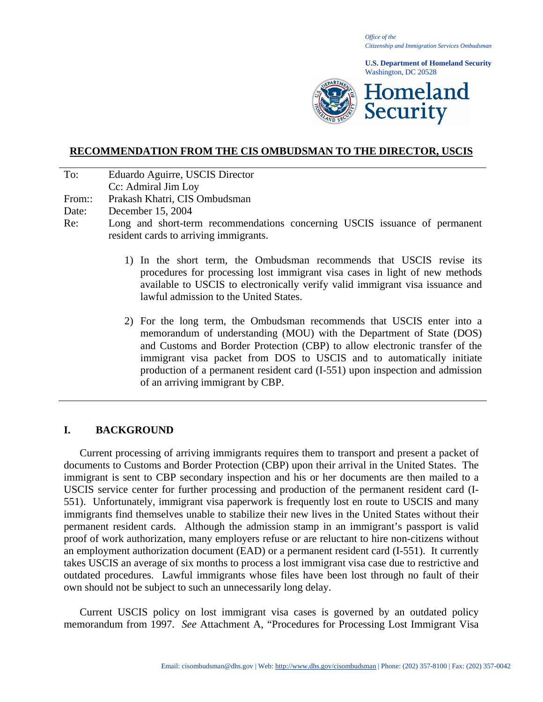*Office of the Citizenship and Immigration Services Ombudsman*

**U.S. Department of Homeland Security** Washington, DC 20528



# **RECOMMENDATION FROM THE CIS OMBUDSMAN TO THE DIRECTOR, USCIS**

- To: Eduardo Aguirre, USCIS Director
- Cc: Admiral Jim Loy
- From:: Prakash Khatri, CIS Ombudsman
- Date: December 15, 2004
- Re: Long and short-term recommendations concerning USCIS issuance of permanent resident cards to arriving immigrants.
	- 1) In the short term, the Ombudsman recommends that USCIS revise its procedures for processing lost immigrant visa cases in light of new methods available to USCIS to electronically verify valid immigrant visa issuance and lawful admission to the United States.
	- 2) For the long term, the Ombudsman recommends that USCIS enter into a memorandum of understanding (MOU) with the Department of State (DOS) and Customs and Border Protection (CBP) to allow electronic transfer of the immigrant visa packet from DOS to USCIS and to automatically initiate production of a permanent resident card (I-551) upon inspection and admission of an arriving immigrant by CBP.

# **I. BACKGROUND**

Current processing of arriving immigrants requires them to transport and present a packet of documents to Customs and Border Protection (CBP) upon their arrival in the United States. The immigrant is sent to CBP secondary inspection and his or her documents are then mailed to a USCIS service center for further processing and production of the permanent resident card (I-551). Unfortunately, immigrant visa paperwork is frequently lost en route to USCIS and many immigrants find themselves unable to stabilize their new lives in the United States without their permanent resident cards. Although the admission stamp in an immigrant's passport is valid proof of work authorization, many employers refuse or are reluctant to hire non-citizens without an employment authorization document (EAD) or a permanent resident card (I-551). It currently takes USCIS an average of six months to process a lost immigrant visa case due to restrictive and outdated procedures. Lawful immigrants whose files have been lost through no fault of their own should not be subject to such an unnecessarily long delay.

Current USCIS policy on lost immigrant visa cases is governed by an outdated policy memorandum from 1997. *See* Attachment A, "Procedures for Processing Lost Immigrant Visa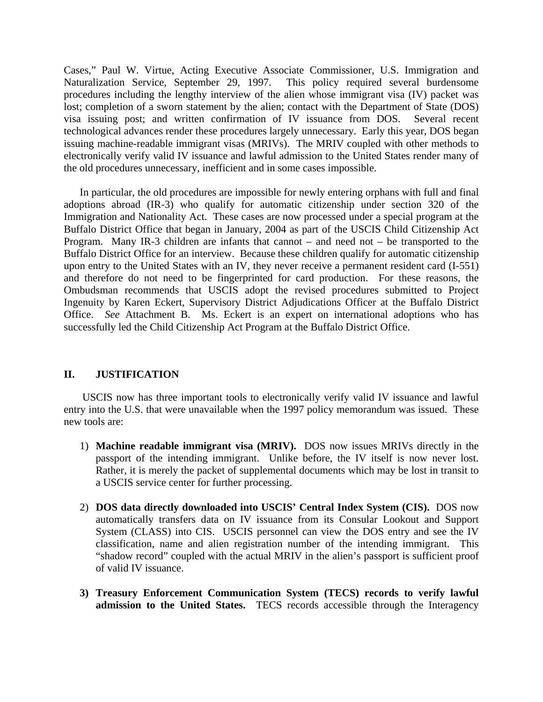Cases," Paul W. Virtue, Acting Executive Associate Commissioner, U.S. Immigration and Naturalization Service, September 29, 1997. This policy required several burdensome procedures including the lengthy interview of the alien whose immigrant visa (IV) packet was lost; completion of a sworn statement by the alien; contact with the Department of State (DOS) visa issuing post; and written confirmation of IV issuance from DOS. Several recent technological advances render these procedures largely unnecessary. Early this year, DOS began issuing machine-readable immigrant visas (MRIVs). The MRIV coupled with other methods to electronically verify valid IV issuance and lawful admission to the United States render many of the old procedures unnecessary, inefficient and in some cases impossible.

 In particular, the old procedures are impossible for newly entering orphans with full and final adoptions abroad (IR-3) who qualify for automatic citizenship under section 320 of the Immigration and Nationality Act. These cases are now processed under a special program at the Buffalo District Office that began in January, 2004 as part of the USCIS Child Citizenship Act Program. Many IR-3 children are infants that cannot – and need not – be transported to the Buffalo District Office for an interview. Because these children qualify for automatic citizenship upon entry to the United States with an IV, they never receive a permanent resident card (I-551) and therefore do not need to be fingerprinted for card production. For these reasons, the Ombudsman recommends that USCIS adopt the revised procedures submitted to Project Ingenuity by Karen Eckert, Supervisory District Adjudications Officer at the Buffalo District Office. *See* Attachment B. Ms. Eckert is an expert on international adoptions who has successfully led the Child Citizenship Act Program at the Buffalo District Office.

# **II. JUSTIFICATION**

 USCIS now has three important tools to electronically verify valid IV issuance and lawful entry into the U.S. that were unavailable when the 1997 policy memorandum was issued. These new tools are:

- 1) **Machine readable immigrant visa (MRIV).** DOS now issues MRIVs directly in the passport of the intending immigrant. Unlike before, the IV itself is now never lost. Rather, it is merely the packet of supplemental documents which may be lost in transit to a USCIS service center for further processing.
- 2) **DOS data directly downloaded into USCIS' Central Index System (CIS).** DOS now automatically transfers data on IV issuance from its Consular Lookout and Support System (CLASS) into CIS. USCIS personnel can view the DOS entry and see the IV classification, name and alien registration number of the intending immigrant. This "shadow record" coupled with the actual MRIV in the alien's passport is sufficient proof of valid IV issuance.
- **3) Treasury Enforcement Communication System (TECS) records to verify lawful admission to the United States.** TECS records accessible through the Interagency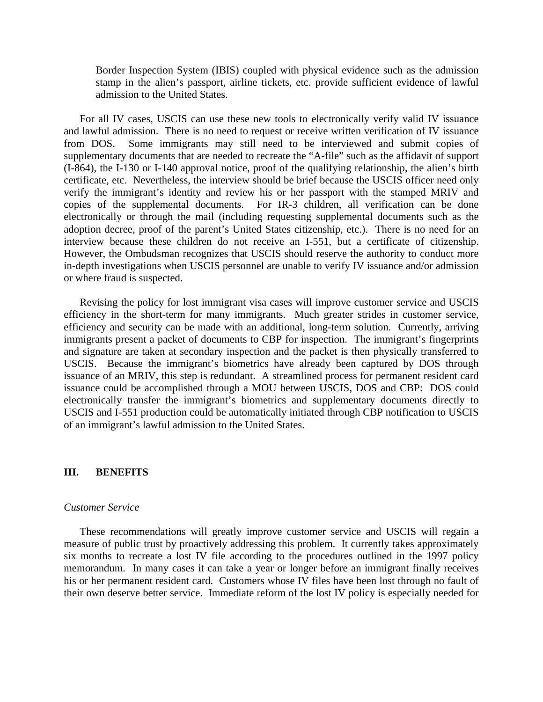Border Inspection System (IBIS) coupled with physical evidence such as the admission stamp in the alien's passport, airline tickets, etc. provide sufficient evidence of lawful admission to the United States.

For all IV cases, USCIS can use these new tools to electronically verify valid IV issuance and lawful admission. There is no need to request or receive written verification of IV issuance from DOS. Some immigrants may still need to be interviewed and submit copies of supplementary documents that are needed to recreate the "A-file" such as the affidavit of support (I-864), the I-130 or I-140 approval notice, proof of the qualifying relationship, the alien's birth certificate, etc. Nevertheless, the interview should be brief because the USCIS officer need only verify the immigrant's identity and review his or her passport with the stamped MRIV and copies of the supplemental documents. For IR-3 children, all verification can be done electronically or through the mail (including requesting supplemental documents such as the adoption decree, proof of the parent's United States citizenship, etc.). There is no need for an interview because these children do not receive an I-551, but a certificate of citizenship. However, the Ombudsman recognizes that USCIS should reserve the authority to conduct more in-depth investigations when USCIS personnel are unable to verify IV issuance and/or admission or where fraud is suspected.

Revising the policy for lost immigrant visa cases will improve customer service and USCIS efficiency in the short-term for many immigrants. Much greater strides in customer service, efficiency and security can be made with an additional, long-term solution. Currently, arriving immigrants present a packet of documents to CBP for inspection. The immigrant's fingerprints and signature are taken at secondary inspection and the packet is then physically transferred to USCIS. Because the immigrant's biometrics have already been captured by DOS through issuance of an MRIV, this step is redundant. A streamlined process for permanent resident card issuance could be accomplished through a MOU between USCIS, DOS and CBP: DOS could electronically transfer the immigrant's biometrics and supplementary documents directly to USCIS and I-551 production could be automatically initiated through CBP notification to USCIS of an immigrant's lawful admission to the United States.

## **III. BENEFITS**

#### *Customer Service*

These recommendations will greatly improve customer service and USCIS will regain a measure of public trust by proactively addressing this problem. It currently takes approximately six months to recreate a lost IV file according to the procedures outlined in the 1997 policy memorandum. In many cases it can take a year or longer before an immigrant finally receives his or her permanent resident card. Customers whose IV files have been lost through no fault of their own deserve better service. Immediate reform of the lost IV policy is especially needed for